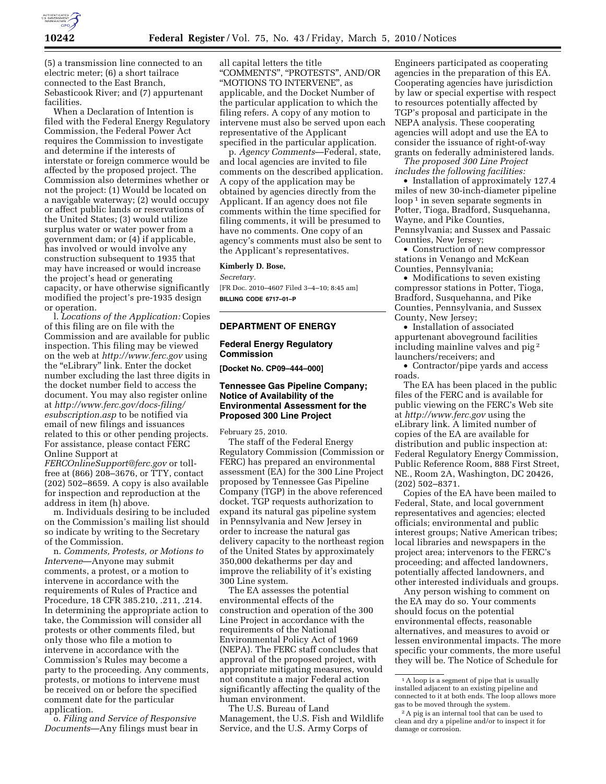

(5) a transmission line connected to an electric meter; (6) a short tailrace connected to the East Branch, Sebasticook River; and (7) appurtenant facilities.

When a Declaration of Intention is filed with the Federal Energy Regulatory Commission, the Federal Power Act requires the Commission to investigate and determine if the interests of interstate or foreign commerce would be affected by the proposed project. The Commission also determines whether or not the project: (1) Would be located on a navigable waterway; (2) would occupy or affect public lands or reservations of the United States; (3) would utilize surplus water or water power from a government dam; or (4) if applicable, has involved or would involve any construction subsequent to 1935 that may have increased or would increase the project's head or generating capacity, or have otherwise significantly modified the project's pre-1935 design or operation.

l. *Locations of the Application:* Copies of this filing are on file with the Commission and are available for public inspection. This filing may be viewed on the web at *http://www.ferc.gov* using the ''eLibrary'' link. Enter the docket number excluding the last three digits in the docket number field to access the document. You may also register online at *http://www.ferc.gov/docs-filing/ esubscription.asp* to be notified via email of new filings and issuances related to this or other pending projects. For assistance, please contact FERC Online Support at

*FERCOnlineSupport@ferc.gov* or tollfree at (866) 208–3676, or TTY, contact (202) 502–8659. A copy is also available for inspection and reproduction at the address in item (h) above.

m. Individuals desiring to be included on the Commission's mailing list should so indicate by writing to the Secretary of the Commission.

n. *Comments, Protests, or Motions to Intervene*—Anyone may submit comments, a protest, or a motion to intervene in accordance with the requirements of Rules of Practice and Procedure, 18 CFR 385.210, .211, .214. In determining the appropriate action to take, the Commission will consider all protests or other comments filed, but only those who file a motion to intervene in accordance with the Commission's Rules may become a party to the proceeding. Any comments, protests, or motions to intervene must be received on or before the specified comment date for the particular application.

o. *Filing and Service of Responsive Documents*—Any filings must bear in all capital letters the title ''COMMENTS'', ''PROTESTS'', AND/OR ''MOTIONS TO INTERVENE'', as applicable, and the Docket Number of the particular application to which the filing refers. A copy of any motion to intervene must also be served upon each representative of the Applicant specified in the particular application.

p. *Agency Comments*—Federal, state, and local agencies are invited to file comments on the described application. A copy of the application may be obtained by agencies directly from the Applicant. If an agency does not file comments within the time specified for filing comments, it will be presumed to have no comments. One copy of an agency's comments must also be sent to the Applicant's representatives.

### **Kimberly D. Bose,**

*Secretary.* 

[FR Doc. 2010–4607 Filed 3–4–10; 8:45 am] **BILLING CODE 6717–01–P** 

### **DEPARTMENT OF ENERGY**

#### **Federal Energy Regulatory Commission**

**[Docket No. CP09–444–000]** 

# **Tennessee Gas Pipeline Company; Notice of Availability of the Environmental Assessment for the Proposed 300 Line Project**

February 25, 2010.

The staff of the Federal Energy Regulatory Commission (Commission or FERC) has prepared an environmental assessment (EA) for the 300 Line Project proposed by Tennessee Gas Pipeline Company (TGP) in the above referenced docket. TGP requests authorization to expand its natural gas pipeline system in Pennsylvania and New Jersey in order to increase the natural gas delivery capacity to the northeast region of the United States by approximately 350,000 dekatherms per day and improve the reliability of it's existing 300 Line system.

The EA assesses the potential environmental effects of the construction and operation of the 300 Line Project in accordance with the requirements of the National Environmental Policy Act of 1969 (NEPA). The FERC staff concludes that approval of the proposed project, with appropriate mitigating measures, would not constitute a major Federal action significantly affecting the quality of the human environment.

The U.S. Bureau of Land Management, the U.S. Fish and Wildlife Service, and the U.S. Army Corps of

Engineers participated as cooperating agencies in the preparation of this EA. Cooperating agencies have jurisdiction by law or special expertise with respect to resources potentially affected by TGP's proposal and participate in the NEPA analysis. These cooperating agencies will adopt and use the EA to consider the issuance of right-of-way grants on federally administered lands.

*The proposed 300 Line Project includes the following facilities:* 

• Installation of approximately 127.4 miles of new 30-inch-diameter pipeline loop<sup>1</sup> in seven separate segments in Potter, Tioga, Bradford, Susquehanna, Wayne, and Pike Counties, Pennsylvania; and Sussex and Passaic Counties, New Jersey;

• Construction of new compressor stations in Venango and McKean Counties, Pennsylvania;

• Modifications to seven existing compressor stations in Potter, Tioga, Bradford, Susquehanna, and Pike Counties, Pennsylvania, and Sussex County, New Jersey;

• Installation of associated appurtenant aboveground facilities including mainline valves and pig 2 launchers/receivers; and

• Contractor/pipe yards and access roads.

The EA has been placed in the public files of the FERC and is available for public viewing on the FERC's Web site at *http://www.ferc.gov* using the eLibrary link. A limited number of copies of the EA are available for distribution and public inspection at: Federal Regulatory Energy Commission, Public Reference Room, 888 First Street, NE., Room 2A, Washington, DC 20426, (202) 502–8371.

Copies of the EA have been mailed to Federal, State, and local government representatives and agencies; elected officials; environmental and public interest groups; Native American tribes; local libraries and newspapers in the project area; intervenors to the FERC's proceeding; and affected landowners, potentially affected landowners, and other interested individuals and groups.

Any person wishing to comment on the EA may do so. Your comments should focus on the potential environmental effects, reasonable alternatives, and measures to avoid or lessen environmental impacts. The more specific your comments, the more useful they will be. The Notice of Schedule for

<sup>&</sup>lt;sup>1</sup>A loop is a segment of pipe that is usually installed adjacent to an existing pipeline and connected to it at both ends. The loop allows more gas to be moved through the system.

<sup>2</sup>A pig is an internal tool that can be used to clean and dry a pipeline and/or to inspect it for damage or corrosion.